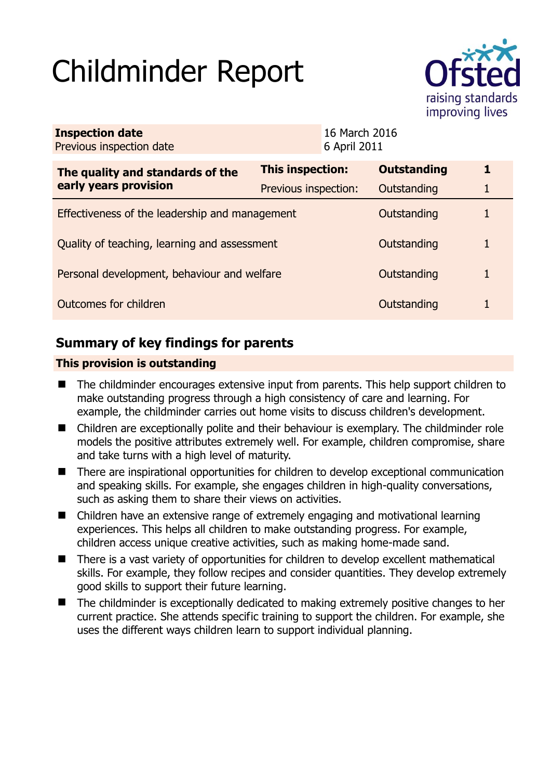# Childminder Report



| <b>Inspection date</b><br>Previous inspection date        |                      | 16 March 2016<br>6 April 2011 |                    |   |
|-----------------------------------------------------------|----------------------|-------------------------------|--------------------|---|
| The quality and standards of the<br>early years provision | This inspection:     |                               | <b>Outstanding</b> | 1 |
|                                                           | Previous inspection: |                               | Outstanding        |   |
| Effectiveness of the leadership and management            |                      |                               | Outstanding        |   |
| Quality of teaching, learning and assessment              |                      |                               | Outstanding        | 1 |
| Personal development, behaviour and welfare               |                      |                               | Outstanding        | 1 |
| Outcomes for children                                     |                      |                               | Outstanding        |   |

# **Summary of key findings for parents**

## **This provision is outstanding**

- The childminder encourages extensive input from parents. This help support children to make outstanding progress through a high consistency of care and learning. For example, the childminder carries out home visits to discuss children's development.
- Children are exceptionally polite and their behaviour is exemplary. The childminder role models the positive attributes extremely well. For example, children compromise, share and take turns with a high level of maturity.
- There are inspirational opportunities for children to develop exceptional communication and speaking skills. For example, she engages children in high-quality conversations, such as asking them to share their views on activities.
- Children have an extensive range of extremely engaging and motivational learning experiences. This helps all children to make outstanding progress. For example, children access unique creative activities, such as making home-made sand.
- There is a vast variety of opportunities for children to develop excellent mathematical skills. For example, they follow recipes and consider quantities. They develop extremely good skills to support their future learning.
- The childminder is exceptionally dedicated to making extremely positive changes to her current practice. She attends specific training to support the children. For example, she uses the different ways children learn to support individual planning.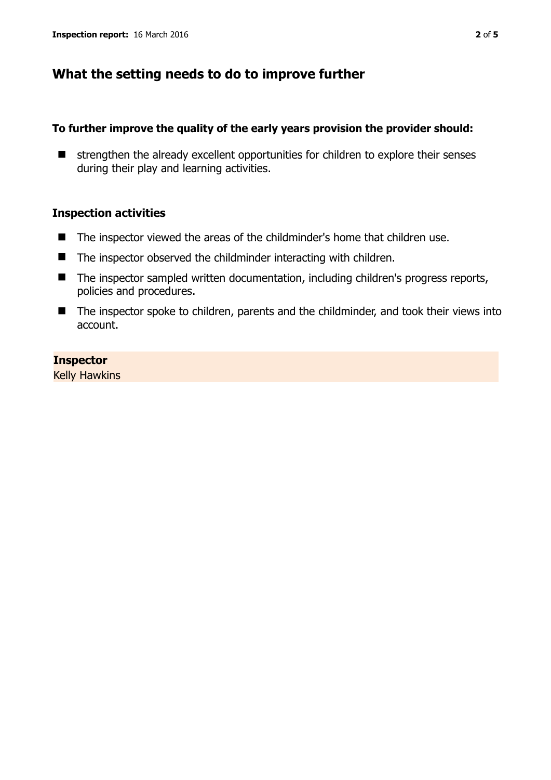## **What the setting needs to do to improve further**

## **To further improve the quality of the early years provision the provider should:**

 $\blacksquare$  strengthen the already excellent opportunities for children to explore their senses during their play and learning activities.

## **Inspection activities**

- The inspector viewed the areas of the childminder's home that children use.
- $\blacksquare$  The inspector observed the childminder interacting with children.
- The inspector sampled written documentation, including children's progress reports, policies and procedures.
- The inspector spoke to children, parents and the childminder, and took their views into account.

## **Inspector**

Kelly Hawkins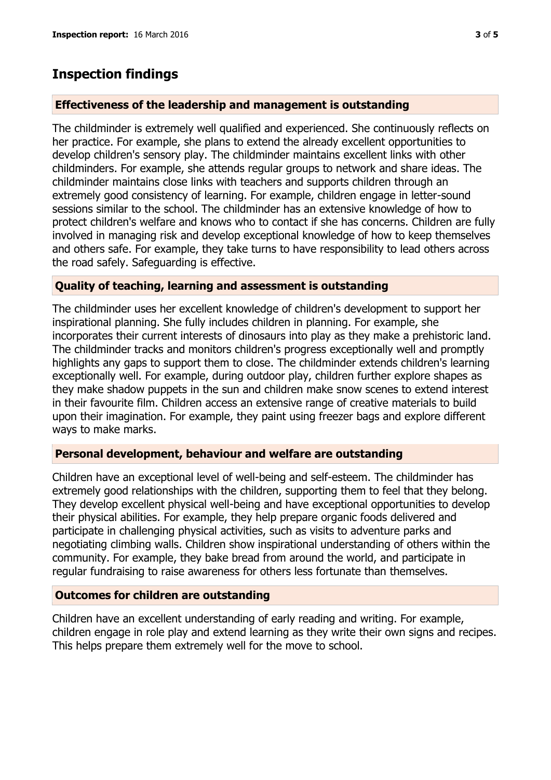## **Inspection findings**

### **Effectiveness of the leadership and management is outstanding**

The childminder is extremely well qualified and experienced. She continuously reflects on her practice. For example, she plans to extend the already excellent opportunities to develop children's sensory play. The childminder maintains excellent links with other childminders. For example, she attends regular groups to network and share ideas. The childminder maintains close links with teachers and supports children through an extremely good consistency of learning. For example, children engage in letter-sound sessions similar to the school. The childminder has an extensive knowledge of how to protect children's welfare and knows who to contact if she has concerns. Children are fully involved in managing risk and develop exceptional knowledge of how to keep themselves and others safe. For example, they take turns to have responsibility to lead others across the road safely. Safeguarding is effective.

## **Quality of teaching, learning and assessment is outstanding**

The childminder uses her excellent knowledge of children's development to support her inspirational planning. She fully includes children in planning. For example, she incorporates their current interests of dinosaurs into play as they make a prehistoric land. The childminder tracks and monitors children's progress exceptionally well and promptly highlights any gaps to support them to close. The childminder extends children's learning exceptionally well. For example, during outdoor play, children further explore shapes as they make shadow puppets in the sun and children make snow scenes to extend interest in their favourite film. Children access an extensive range of creative materials to build upon their imagination. For example, they paint using freezer bags and explore different ways to make marks.

#### **Personal development, behaviour and welfare are outstanding**

Children have an exceptional level of well-being and self-esteem. The childminder has extremely good relationships with the children, supporting them to feel that they belong. They develop excellent physical well-being and have exceptional opportunities to develop their physical abilities. For example, they help prepare organic foods delivered and participate in challenging physical activities, such as visits to adventure parks and negotiating climbing walls. Children show inspirational understanding of others within the community. For example, they bake bread from around the world, and participate in regular fundraising to raise awareness for others less fortunate than themselves.

#### **Outcomes for children are outstanding**

Children have an excellent understanding of early reading and writing. For example, children engage in role play and extend learning as they write their own signs and recipes. This helps prepare them extremely well for the move to school.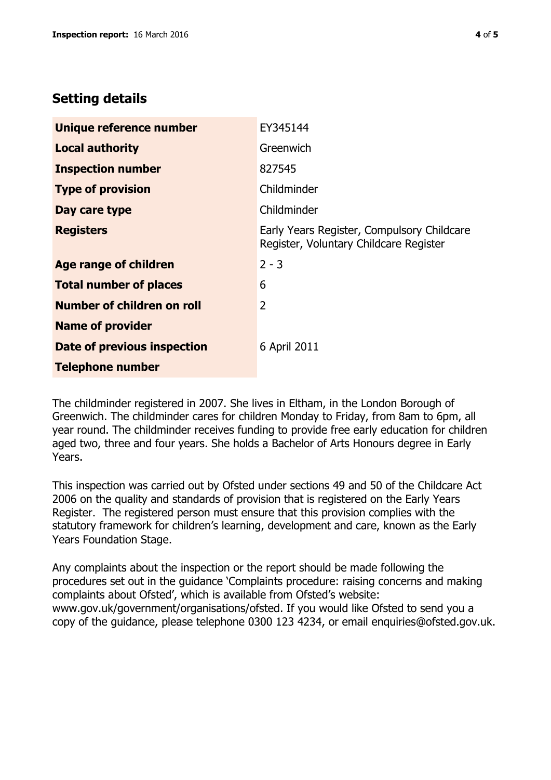# **Setting details**

| Unique reference number       | EY345144                                                                             |  |
|-------------------------------|--------------------------------------------------------------------------------------|--|
| <b>Local authority</b>        | Greenwich                                                                            |  |
| <b>Inspection number</b>      | 827545                                                                               |  |
| <b>Type of provision</b>      | Childminder                                                                          |  |
| Day care type                 | Childminder                                                                          |  |
| <b>Registers</b>              | Early Years Register, Compulsory Childcare<br>Register, Voluntary Childcare Register |  |
| Age range of children         | $2 - 3$                                                                              |  |
| <b>Total number of places</b> | 6                                                                                    |  |
| Number of children on roll    | $\overline{2}$                                                                       |  |
| <b>Name of provider</b>       |                                                                                      |  |
| Date of previous inspection   | 6 April 2011                                                                         |  |
| <b>Telephone number</b>       |                                                                                      |  |

The childminder registered in 2007. She lives in Eltham, in the London Borough of Greenwich. The childminder cares for children Monday to Friday, from 8am to 6pm, all year round. The childminder receives funding to provide free early education for children aged two, three and four years. She holds a Bachelor of Arts Honours degree in Early Years.

This inspection was carried out by Ofsted under sections 49 and 50 of the Childcare Act 2006 on the quality and standards of provision that is registered on the Early Years Register. The registered person must ensure that this provision complies with the statutory framework for children's learning, development and care, known as the Early Years Foundation Stage.

Any complaints about the inspection or the report should be made following the procedures set out in the guidance 'Complaints procedure: raising concerns and making complaints about Ofsted', which is available from Ofsted's website: www.gov.uk/government/organisations/ofsted. If you would like Ofsted to send you a copy of the guidance, please telephone 0300 123 4234, or email enquiries@ofsted.gov.uk.